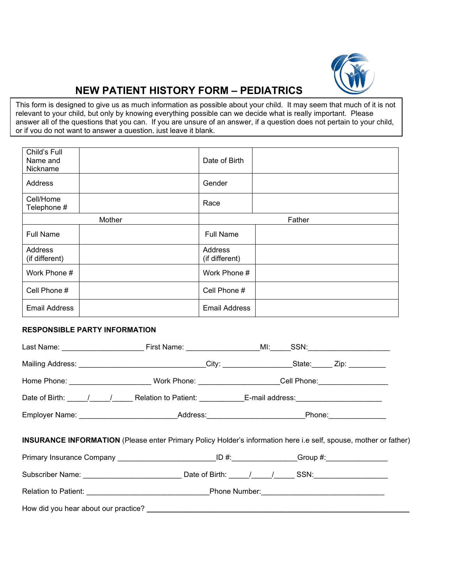

## **NEW PATIENT HISTORY FORM – PEDIATRICS**

This form is designed to give us as much information as possible about your child. It may seem that much of it is not relevant to your child, but only by knowing everything possible can we decide what is really important. Please answer all of the questions that you can. If you are unsure of an answer, if a question does not pertain to your child, or if you do not want to answer a question, just leave it blank.

| Child's Full<br>Name and<br>Nickname |  | Date of Birth             |  |  |
|--------------------------------------|--|---------------------------|--|--|
| Address                              |  | Gender                    |  |  |
| Cell/Home<br>Telephone #             |  | Race                      |  |  |
| Mother                               |  | Father                    |  |  |
| <b>Full Name</b>                     |  | <b>Full Name</b>          |  |  |
| Address<br>(if different)            |  | Address<br>(if different) |  |  |
| Work Phone #                         |  | Work Phone #              |  |  |
| Cell Phone #                         |  | Cell Phone #              |  |  |
| <b>Email Address</b>                 |  | <b>Email Address</b>      |  |  |

#### **RESPONSIBLE PARTY INFORMATION**

|                                                                                                                         |  | Mailing Address: __________________________________City: _____________________State:_______ Zip: ____________ |  |  |  |  |
|-------------------------------------------------------------------------------------------------------------------------|--|---------------------------------------------------------------------------------------------------------------|--|--|--|--|
|                                                                                                                         |  | Home Phone: __________________________Work Phone: _____________________Cell Phone: ______________________     |  |  |  |  |
|                                                                                                                         |  | Date of Birth: _____/_____/_________Relation to Patient: ______________E-mail address:_______________________ |  |  |  |  |
|                                                                                                                         |  | Employer Name: _______________________________Address:_________________________Phone:_______________          |  |  |  |  |
| <b>INSURANCE INFORMATION</b> (Please enter Primary Policy Holder's information here i.e self, spouse, mother or father) |  |                                                                                                               |  |  |  |  |
|                                                                                                                         |  | Primary Insurance Company ______________________________ID #:_______________Group #:________________          |  |  |  |  |
|                                                                                                                         |  | Subscriber Name: _______________________________Date of Birth: _____/_____/______SSN:_______________          |  |  |  |  |
|                                                                                                                         |  | Relation to Patient: ________________________________Phone Number:_________________________________           |  |  |  |  |
|                                                                                                                         |  |                                                                                                               |  |  |  |  |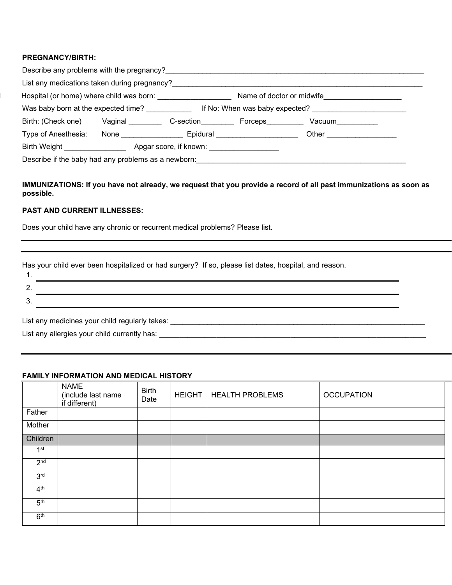#### **PREGNANCY/BIRTH:**

| List any medications taken during pregnancy? |                      |                        |                                |                           |
|----------------------------------------------|----------------------|------------------------|--------------------------------|---------------------------|
| Hospital (or home) where child was born:     |                      |                        |                                | Name of doctor or midwife |
| Was baby born at the expected time?          |                      |                        | If No: When was baby expected? |                           |
| Birth: (Check one)                           | Vaginal              | C-section              | Forceps                        | Vacuum                    |
| Type of Anesthesia:                          | None $\qquad \qquad$ | Epidural               |                                | Other                     |
| Birth Weight                                 |                      | Apgar score, if known: |                                |                           |

#### **IMMUNIZATIONS: If you have not already, we request that you provide a record of all past immunizations as soon as possible.**

#### **PAST AND CURRENT ILLNESSES:**

Does your child have any chronic or recurrent medical problems? Please list.

Has your child ever been hospitalized or had surgery? If so, please list dates, hospital, and reason.

List any medicines your child regularly takes: \_\_\_\_\_\_\_\_\_\_\_\_\_\_\_\_\_\_\_\_\_\_\_\_\_\_\_\_\_\_\_\_\_

List any allergies your child currently has: **\_\_\_\_\_\_\_\_\_\_\_\_\_\_\_\_\_\_\_\_\_\_\_\_\_\_\_\_\_\_\_\_\_\_\_\_\_\_\_\_\_\_\_\_\_\_\_\_\_\_\_\_\_\_\_\_\_\_\_\_\_\_\_\_\_**

### **FAMILY INFORMATION AND MEDICAL HISTORY**

|                 | <b>NAME</b><br>(include last name<br>if different) | <b>Birth</b><br>Date | <b>HEIGHT</b> | <b>HEALTH PROBLEMS</b> | <b>OCCUPATION</b> |
|-----------------|----------------------------------------------------|----------------------|---------------|------------------------|-------------------|
| Father          |                                                    |                      |               |                        |                   |
| Mother          |                                                    |                      |               |                        |                   |
| Children        |                                                    |                      |               |                        |                   |
| 1 <sup>st</sup> |                                                    |                      |               |                        |                   |
| 2 <sub>nd</sub> |                                                    |                      |               |                        |                   |
| 3 <sup>rd</sup> |                                                    |                      |               |                        |                   |
| 4 <sup>th</sup> |                                                    |                      |               |                        |                   |
| 5 <sup>th</sup> |                                                    |                      |               |                        |                   |
| 6 <sup>th</sup> |                                                    |                      |               |                        |                   |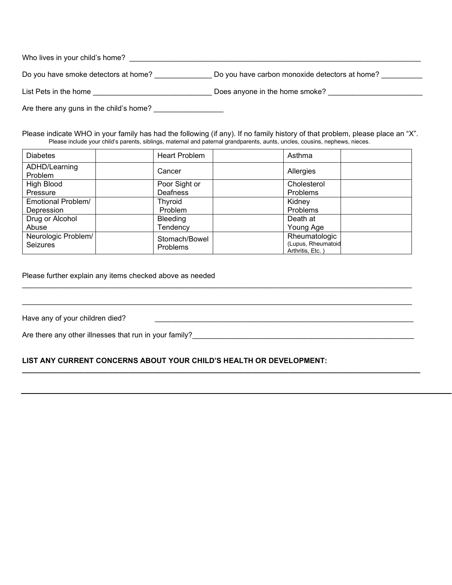| Who lives in your child's home?         |                                                |  |  |  |  |  |
|-----------------------------------------|------------------------------------------------|--|--|--|--|--|
| Do you have smoke detectors at home?    | Do you have carbon monoxide detectors at home? |  |  |  |  |  |
| List Pets in the home                   | Does anyone in the home smoke?                 |  |  |  |  |  |
| Are there any guns in the child's home? |                                                |  |  |  |  |  |

Please indicate WHO in your family has had the following (if any). If no family history of that problem, please place an "X". Please include your child's parents, siblings, maternal and paternal grandparents, aunts, uncles, cousins, nephews, nieces.

| <b>Diabetes</b>          | Heart Problem  | Asthma                                  |  |
|--------------------------|----------------|-----------------------------------------|--|
| ADHD/Learning<br>Problem | Cancer         | Allergies                               |  |
| High Blood               | Poor Sight or  | Cholesterol                             |  |
| Pressure                 | Deafness       | Problems                                |  |
| Emotional Problem/       | <b>Thyroid</b> | Kidney                                  |  |
| Depression               | Problem        | Problems                                |  |
| Drug or Alcohol          | Bleeding       | Death at                                |  |
| Abuse                    | Tendency       | Young Age                               |  |
| Neurologic Problem/      | Stomach/Bowel  | Rheumatologic                           |  |
| <b>Seizures</b>          | Problems       | (Lupus, Rheumatoid<br>Arthritis, Etc. ) |  |

\_\_\_\_\_\_\_\_\_\_\_\_\_\_\_\_\_\_\_\_\_\_\_\_\_\_\_\_\_\_\_\_\_\_\_\_\_\_\_\_\_\_\_\_\_\_\_\_\_\_\_\_\_\_\_\_\_\_\_\_\_\_\_\_\_\_\_\_\_\_\_\_\_\_\_\_\_\_\_\_\_\_\_\_\_\_\_\_\_\_\_\_\_\_\_

\_\_\_\_\_\_\_\_\_\_\_\_\_\_\_\_\_\_\_\_\_\_\_\_\_\_\_\_\_\_\_\_\_\_\_\_\_\_\_\_\_\_\_\_\_\_\_\_\_\_\_\_\_\_\_\_\_\_\_\_\_\_\_\_\_\_\_\_\_\_\_\_\_\_\_\_\_\_\_\_\_\_\_\_\_\_\_\_\_\_\_\_\_\_\_

**\_\_\_\_\_\_\_\_\_\_\_\_\_\_\_\_\_\_\_\_\_\_\_\_\_\_\_\_\_\_\_\_\_\_\_\_\_\_\_\_\_\_\_\_\_\_\_\_\_\_\_\_\_\_\_\_\_\_\_\_\_\_\_\_\_\_\_\_\_\_\_\_\_\_\_\_\_\_\_\_\_\_\_\_\_\_\_\_\_\_\_\_\_\_\_\_\_**

Please further explain any items checked above as needed

Have any of your children died?

Are there any other illnesses that run in your family?\_\_\_\_\_\_\_\_\_\_\_\_\_\_\_\_\_\_\_\_\_\_\_\_\_\_\_\_\_\_\_\_\_\_\_\_\_\_\_\_\_\_\_\_\_\_\_\_\_\_\_\_\_\_

#### **LIST ANY CURRENT CONCERNS ABOUT YOUR CHILD'S HEALTH OR DEVELOPMENT:**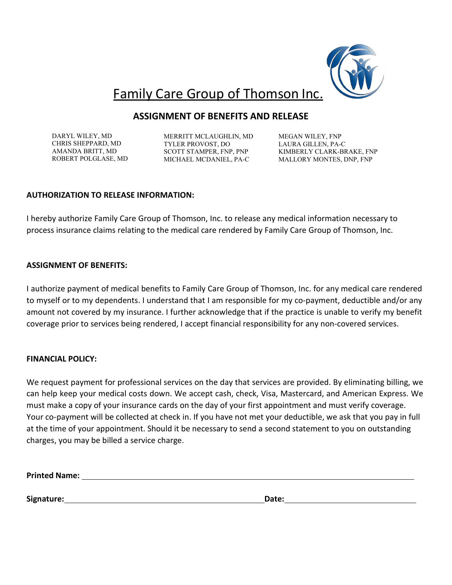

# Family Care Group of Thomson Inc.

### **ASSIGNMENT OF BENEFITS AND RELEASE**

DARYL WILEY, MD CHRIS SHEPPARD, MD AMANDA BRITT, MD ROBERT POLGLASE, MD

MERRITT MCLAUGHLIN, MD TYLER PROVOST, DO SCOTT STAMPER, FNP, PNP MICHAEL MCDANIEL, PA-C

MEGAN WILEY, FNP LAURA GILLEN, PA-C KIMBERLY CLARK-BRAKE, FNP MALLORY MONTES, DNP, FNP

### **AUTHORIZATION TO RELEASE INFORMATION:**

I hereby authorize Family Care Group of Thomson, Inc. to release any medical information necessary to process insurance claims relating to the medical care rendered by Family Care Group of Thomson, Inc.

### **ASSIGNMENT OF BENEFITS:**

I authorize payment of medical benefits to Family Care Group of Thomson, Inc. for any medical care rendered to myself or to my dependents. I understand that I am responsible for my co-payment, deductible and/or any amount not covered by my insurance. I further acknowledge that if the practice is unable to verify my benefit coverage prior to services being rendered, I accept financial responsibility for any non-covered services.

### **FINANCIAL POLICY:**

We request payment for professional services on the day that services are provided. By eliminating billing, we can help keep your medical costs down. We accept cash, check, Visa, Mastercard, and American Express. We must make a copy of your insurance cards on the day of your first appointment and must verify coverage. Your co-payment will be collected at check in. If you have not met your deductible, we ask that you pay in full at the time of your appointment. Should it be necessary to send a second statement to you on outstanding charges, you may be billed a service charge.

**Printed Name:**

**Signature: Date:**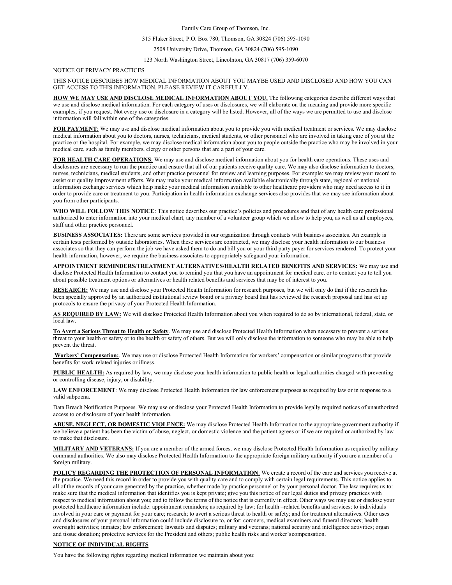Family Care Group of Thomson, Inc.

#### 315 Fluker Street, P.O. Box 780, Thomson, GA 30824 (706) 595-1090

2508 University Drive, Thomson, GA 30824 (706) 595-1090

123 North Washington Street, Lincolnton, GA 30817 (706) 359-6070

#### NOTICE OF PRIVACY PRACTICES

#### THIS NOTICE DESCRIBES HOW MEDICAL INFORMATION ABOUT YOU MAYBE USED AND DISCLOSED AND HOW YOU CAN GET ACCESS TO THIS INFORMATION. PLEASE REVIEW IT CAREFULLY.

**HOW WE MAY USE AND DISCLOSE MEDICAL INFORMATION ABOUT YOU.** The following categories describe different ways that we use and disclose medical information. For each category of uses or disclosures, we will elaborate on the meaning and provide more specific examples, if you request. Not every use or disclosure in a category will be listed. However, all of the ways we are permitted to use and disclose information will fall within one of the categories.

**FOR PAYMENT**: We may use and disclose medical information about you to provide you with medical treatment or services. We may disclose medical information about you to doctors, nurses, technicians, medical students, or other personnel who are involved in taking care of you at the practice or the hospital. For example, we may disclose medical information about you to people outside the practice who may be involved in your medical care, such as family members, clergy or other persons that are a part of your care.

**FOR HEALTH CARE OPERATIONS**: We may use and disclose medical information about you for health care operations. These uses and disclosures are necessary to run the practice and ensure that all of our patients receive quality care. We may also disclose information to doctors, nurses, technicians, medical students, and other practice personnel for review and learning purposes. For example: we may review your record to assist our quality improvement efforts. We may make your medical information available electronically through state, regional or national information exchange services which help make your medical information available to other healthcare providers who may need access to it in order to provide care or treatment to you. Participation in health information exchange services also provides that we may see information about you from other participants.

**WHO WILL FOLLOW THIS NOTICE**: This notice describes our practice's policies and procedures and that of any health care professional authorized to enter information into your medical chart, any member of a volunteer group which we allow to help you, as well as all employees, staff and other practice personnel.

**BUSINESS ASSOCIATES:** There are some services provided in our organization through contacts with business associates. An example is certain tests performed by outside laboratories. When these services are contracted, we may disclose your health information to our business associates so that they can perform the job we have asked them to do and bill you or your third party payer for services rendered. To protect your health information, however, we require the business associates to appropriately safeguard your information.

**APPOINTMENT REMINDERS/TREATMENT ALTERNATIVES/HEALTH RELATED BENEFITS AND SERVICES:** We may use and disclose Protected Health Information to contact you to remind you that you have an appointment for medical care, or to contact you to tell you about possible treatment options or alternatives or health related benefits and services that may be of interest to you.

**RESEARCH:** We may use and disclose your Protected Health Information for research purposes, but we will only do that if the research has been specially approved by an authorized institutional review board or a privacy board that has reviewed the research proposal and has set up protocols to ensure the privacy of your Protected Health Information.

**AS REQUIRED BY LAW:** We will disclose Protected Health Information about you when required to do so by international, federal, state, or local law.

**To Avert a Serious Threat to Health or Safety**. We may use and disclose Protected Health Information when necessary to prevent a serious threat to your health or safety or to the health or safety of others. But we will only disclose the information to someone who may be able to help prevent the threat.

**Workers' Compensation:**. We may use or disclose Protected Health Information for workers' compensation or similar programs that provide benefits for work-related injuries or illness.

**PUBLIC HEALTH:** As required by law, we may disclose your health information to public health or legal authorities charged with preventing or controlling disease, injury, or disability.

**LAW ENFORCEMENT**: We may disclose Protected Health Information for law enforcement purposes as required by law or in response to a valid subpoena.

Data Breach Notification Purposes. We may use or disclose your Protected Health Information to provide legally required notices of unauthorized access to or disclosure of your health information.

**ABUSE, NEGLECT, OR DOMESTIC VIOLENCE:** We may disclose Protected Health Information to the appropriate government authority if we believe a patient has been the victim of abuse, neglect, or domestic violence and the patient agrees or if we are required or authorized by law to make that disclosure.

**MILITARY AND VETERANS:** If you are a member of the armed forces, we may disclose Protected Health Information as required by military command authorities. We also may disclose Protected Health Information to the appropriate foreign military authority if you are a member of a foreign military.

**POLICY REGARDING THE PROTECTION OF PERSONAL INFORMATION**: We create a record of the care and services you receive at the practice. We need this record in order to provide you with quality care and to comply with certain legal requirements. This notice applies to all of the records of your care generated by the practice, whether made by practice personnel or by your personal doctor. The law requires us to: make sure that the medical information that identifies you is kept private; give you this notice of our legal duties and privacy practices with respect to medical information about you; and to follow the terms of the notice that is currently in effect. Other ways we may use or disclose your protected healthcare information include: appointment reminders; as required by law; for health -related benefits and services; to individuals involved in your care or payment for your care; research; to avert a serious threat to health or safety; and for treatment alternatives. Other uses and disclosures of your personal information could include disclosure to, or for: coroners, medical examiners and funeral directors; health oversight activities; inmates; law enforcement; lawsuits and disputes; military and veterans; national security and intelligence activities; organ and tissue donation; protective services for the President and others; public health risks and worker'scompensation.

#### **NOTICE OF INDIVIDUAL RIGHTS**

You have the following rights regarding medical information we maintain about you: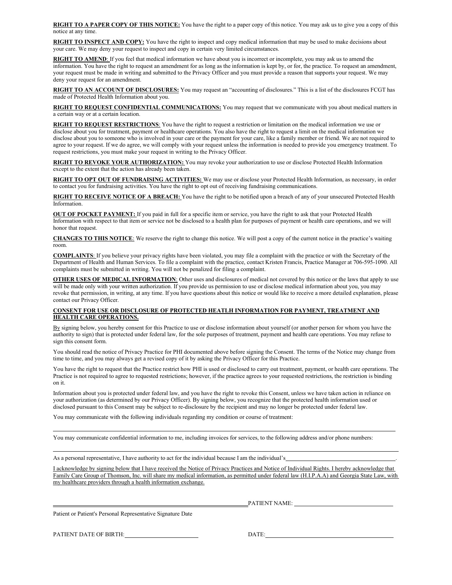**RIGHT TO A PAPER COPY OF THIS NOTICE:** You have the right to a paper copy of this notice. You may ask us to give you a copy of this notice at any time.

**RIGHT TO INSPECT AND COPY:** You have the right to inspect and copy medical information that may be used to make decisions about your care. We may deny your request to inspect and copy in certain very limited circumstances.

**RIGHT TO AMEND**: If you feel that medical information we have about you is incorrect or incomplete, you may ask us to amend the information. You have the right to request an amendment for as long as the information is kept by, or for, the practice. To request an amendment, your request must be made in writing and submitted to the Privacy Officer and you must provide a reason that supports your request. We may deny your request for an amendment.

**RIGHT TO AN ACCOUNT OF DISCLOSURES:** You may request an "accounting of disclosures." This is a list of the disclosures FCGT has made of Protected Health Information about you.

**RIGHT TO REQUEST CONFIDENTIAL COMMUNICATIONS:** You may request that we communicate with you about medical matters in a certain way or at a certain location.

**RIGHT TO REQUEST RESTRICTIONS**: You have the right to request a restriction or limitation on the medical information we use or disclose about you for treatment, payment or healthcare operations. You also have the right to request a limit on the medical information we disclose about you to someone who is involved in your care or the payment for your care, like a family member or friend. We are not required to agree to your request. If we do agree, we will comply with your request unless the information is needed to provide you emergency treatment. To request restrictions, you must make your request in writing to the Privacy Officer.

**RIGHT TO REVOKE YOUR AUTHORIZATION:** You may revoke your authorization to use or disclose Protected Health Information except to the extent that the action has already been taken.

**RIGHT TO OPT OUT OF FUNDRAISING ACTIVITIES:** We may use or disclose your Protected Health Information, as necessary, in order to contact you for fundraising activities. You have the right to opt out of receiving fundraising communications.

**RIGHT TO RECEIVE NOTICE OF A BREACH:** You have the right to be notified upon a breach of any of your unsecured Protected Health Information.

**OUT OF POCKET PAYMENT:** If you paid in full for a specific item or service, you have the right to ask that your Protected Health Information with respect to that item or service not be disclosed to a health plan for purposes of payment or health care operations, and we will honor that request.

**CHANGES TO THIS NOTICE**: We reserve the right to change this notice. We will post a copy of the current notice in the practice's waiting room.

**COMPLAINTS**: If you believe your privacy rights have been violated, you may file a complaint with the practice or with the Secretary of the Department of Health and Human Services. To file a complaint with the practice, contact Kristen Francis, Practice Manager at 706-595-1090. All complaints must be submitted in writing. You will not be penalized for filing a complaint.

**OTHER USES OF MEDICAL INFORMATION**: Other uses and disclosures of medical not covered by this notice or the laws that apply to use will be made only with your written authorization. If you provide us permission to use or disclose medical information about you, you may revoke that permission, in writing, at any time. If you have questions about this notice or would like to receive a more detailed explanation, please contact our Privacy Officer.

#### **CONSENT FOR USE OR DISCLOSURE OF PROTECTED HEATLH INFORMATION FOR PAYMENT, TREATMENT AND HEALTH CARE OPERATIONS.**

By signing below, you hereby consent for this Practice to use or disclose information about yourself (or another person for whom you have the authority to sign) that is protected under federal law, for the sole purposes of treatment, payment and health care operations. You may refuse to sign this consent form.

You should read the notice of Privacy Practice for PHI documented above before signing the Consent. The terms of the Notice may change from time to time, and you may always get a revised copy of it by asking the Privacy Officer for this Practice.

You have the right to request that the Practice restrict how PHI is used or disclosed to carry out treatment, payment, or health care operations. The Practice is not required to agree to requested restrictions; however, if the practice agrees to your requested restrictions, the restriction is binding on it.

Information about you is protected under federal law, and you have the right to revoke this Consent, unless we have taken action in reliance on your authorization (as determined by our Privacy Officer). By signing below, you recognize that the protected health information used or disclosed pursuant to this Consent may be subject to re-disclosure by the recipient and may no longer be protected under federal law.

You may communicate with the following individuals regarding my condition or course of treatment:

You may communicate confidential information to me, including invoices for services, to the following address and/or phone numbers:

As a personal representative, I have authority to act for the individual because I am the individual's

I acknowledge by signing below that I have received the Notice of Privacy Practices and Notice of Individual Rights. I hereby acknowledge that Family Care Group of Thomson, Inc. will share my medical information, as permitted under federal law (H.I.P.A.A) and Georgia State Law, with my healthcare providers through a health information exchange.

PATIENT NAME:

Patient or Patient's Personal Representative Signature Date

PATIENT DATE OF BIRTH: DATE: